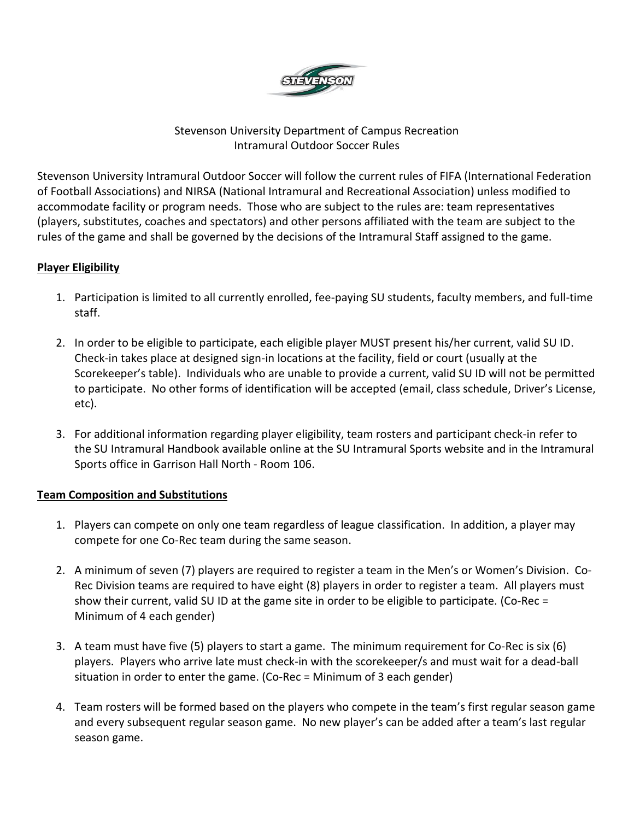

## Stevenson University Department of Campus Recreation Intramural Outdoor Soccer Rules

Stevenson University Intramural Outdoor Soccer will follow the current rules of FIFA (International Federation of Football Associations) and NIRSA (National Intramural and Recreational Association) unless modified to accommodate facility or program needs. Those who are subject to the rules are: team representatives (players, substitutes, coaches and spectators) and other persons affiliated with the team are subject to the rules of the game and shall be governed by the decisions of the Intramural Staff assigned to the game.

## **Player Eligibility**

- 1. Participation is limited to all currently enrolled, fee-paying SU students, faculty members, and full-time staff.
- 2. In order to be eligible to participate, each eligible player MUST present his/her current, valid SU ID. Check-in takes place at designed sign-in locations at the facility, field or court (usually at the Scorekeeper's table). Individuals who are unable to provide a current, valid SU ID will not be permitted to participate. No other forms of identification will be accepted (email, class schedule, Driver's License, etc).
- 3. For additional information regarding player eligibility, team rosters and participant check-in refer to the SU Intramural Handbook available online at the SU Intramural Sports website and in the Intramural Sports office in Garrison Hall North - Room 106.

## **Team Composition and Substitutions**

- 1. Players can compete on only one team regardless of league classification. In addition, a player may compete for one Co-Rec team during the same season.
- 2. A minimum of seven (7) players are required to register a team in the Men's or Women's Division. Co-Rec Division teams are required to have eight (8) players in order to register a team. All players must show their current, valid SU ID at the game site in order to be eligible to participate. (Co-Rec = Minimum of 4 each gender)
- 3. A team must have five (5) players to start a game. The minimum requirement for Co-Rec is six (6) players. Players who arrive late must check-in with the scorekeeper/s and must wait for a dead-ball situation in order to enter the game. (Co-Rec = Minimum of 3 each gender)
- 4. Team rosters will be formed based on the players who compete in the team's first regular season game and every subsequent regular season game. No new player's can be added after a team's last regular season game.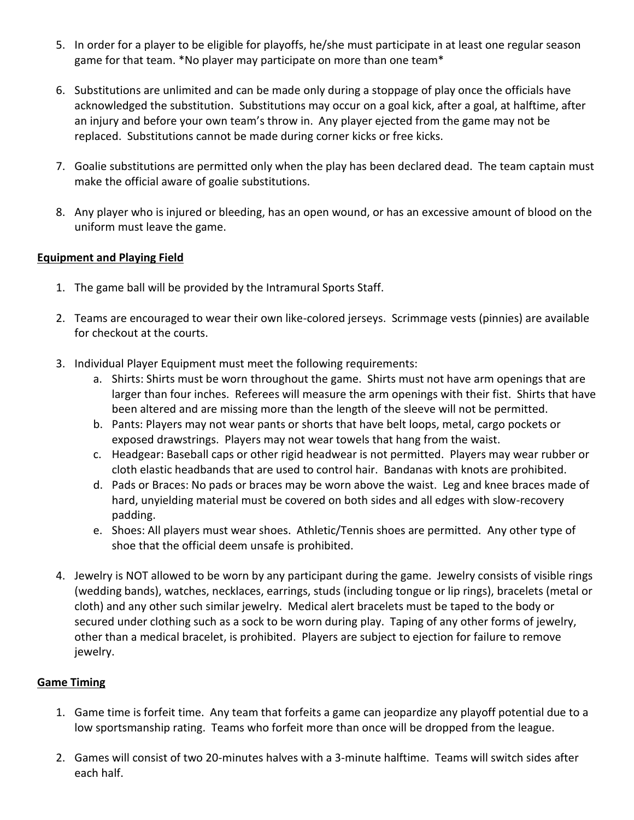- 5. In order for a player to be eligible for playoffs, he/she must participate in at least one regular season game for that team. \*No player may participate on more than one team\*
- 6. Substitutions are unlimited and can be made only during a stoppage of play once the officials have acknowledged the substitution. Substitutions may occur on a goal kick, after a goal, at halftime, after an injury and before your own team's throw in. Any player ejected from the game may not be replaced. Substitutions cannot be made during corner kicks or free kicks.
- 7. Goalie substitutions are permitted only when the play has been declared dead. The team captain must make the official aware of goalie substitutions.
- 8. Any player who is injured or bleeding, has an open wound, or has an excessive amount of blood on the uniform must leave the game.

#### **Equipment and Playing Field**

- 1. The game ball will be provided by the Intramural Sports Staff.
- 2. Teams are encouraged to wear their own like-colored jerseys. Scrimmage vests (pinnies) are available for checkout at the courts.
- 3. Individual Player Equipment must meet the following requirements:
	- a. Shirts: Shirts must be worn throughout the game. Shirts must not have arm openings that are larger than four inches. Referees will measure the arm openings with their fist. Shirts that have been altered and are missing more than the length of the sleeve will not be permitted.
	- b. Pants: Players may not wear pants or shorts that have belt loops, metal, cargo pockets or exposed drawstrings. Players may not wear towels that hang from the waist.
	- c. Headgear: Baseball caps or other rigid headwear is not permitted. Players may wear rubber or cloth elastic headbands that are used to control hair. Bandanas with knots are prohibited.
	- d. Pads or Braces: No pads or braces may be worn above the waist. Leg and knee braces made of hard, unyielding material must be covered on both sides and all edges with slow-recovery padding.
	- e. Shoes: All players must wear shoes. Athletic/Tennis shoes are permitted. Any other type of shoe that the official deem unsafe is prohibited.
- 4. Jewelry is NOT allowed to be worn by any participant during the game. Jewelry consists of visible rings (wedding bands), watches, necklaces, earrings, studs (including tongue or lip rings), bracelets (metal or cloth) and any other such similar jewelry. Medical alert bracelets must be taped to the body or secured under clothing such as a sock to be worn during play. Taping of any other forms of jewelry, other than a medical bracelet, is prohibited. Players are subject to ejection for failure to remove jewelry.

## **Game Timing**

- 1. Game time is forfeit time. Any team that forfeits a game can jeopardize any playoff potential due to a low sportsmanship rating. Teams who forfeit more than once will be dropped from the league.
- 2. Games will consist of two 20-minutes halves with a 3-minute halftime. Teams will switch sides after each half.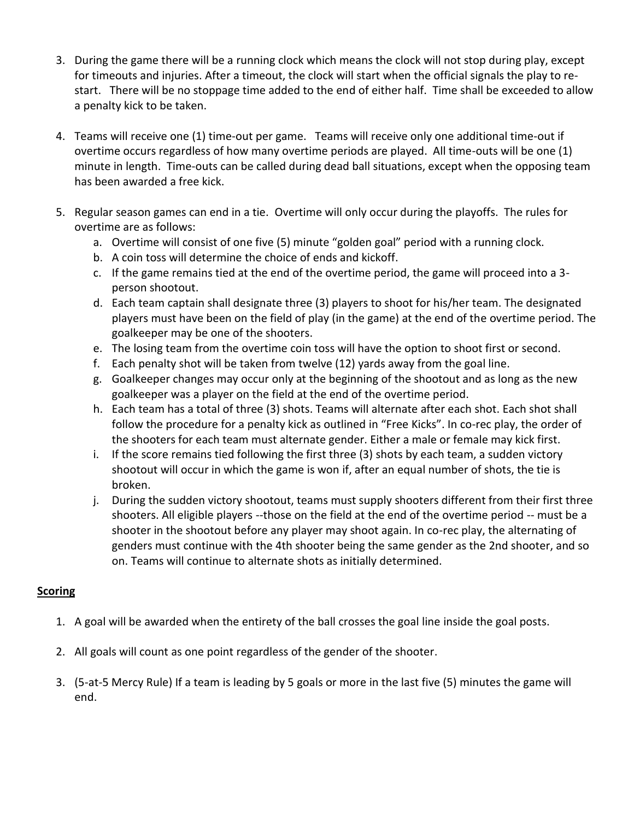- 3. During the game there will be a running clock which means the clock will not stop during play, except for timeouts and injuries. After a timeout, the clock will start when the official signals the play to restart. There will be no stoppage time added to the end of either half. Time shall be exceeded to allow a penalty kick to be taken.
- 4. Teams will receive one (1) time-out per game. Teams will receive only one additional time-out if overtime occurs regardless of how many overtime periods are played. All time-outs will be one (1) minute in length. Time-outs can be called during dead ball situations, except when the opposing team has been awarded a free kick.
- 5. Regular season games can end in a tie. Overtime will only occur during the playoffs. The rules for overtime are as follows:
	- a. Overtime will consist of one five (5) minute "golden goal" period with a running clock.
	- b. A coin toss will determine the choice of ends and kickoff.
	- c. If the game remains tied at the end of the overtime period, the game will proceed into a 3 person shootout.
	- d. Each team captain shall designate three (3) players to shoot for his/her team. The designated players must have been on the field of play (in the game) at the end of the overtime period. The goalkeeper may be one of the shooters.
	- e. The losing team from the overtime coin toss will have the option to shoot first or second.
	- f. Each penalty shot will be taken from twelve (12) yards away from the goal line.
	- g. Goalkeeper changes may occur only at the beginning of the shootout and as long as the new goalkeeper was a player on the field at the end of the overtime period.
	- h. Each team has a total of three (3) shots. Teams will alternate after each shot. Each shot shall follow the procedure for a penalty kick as outlined in "Free Kicks". In co-rec play, the order of the shooters for each team must alternate gender. Either a male or female may kick first.
	- i. If the score remains tied following the first three (3) shots by each team, a sudden victory shootout will occur in which the game is won if, after an equal number of shots, the tie is broken.
	- j. During the sudden victory shootout, teams must supply shooters different from their first three shooters. All eligible players --those on the field at the end of the overtime period -- must be a shooter in the shootout before any player may shoot again. In co-rec play, the alternating of genders must continue with the 4th shooter being the same gender as the 2nd shooter, and so on. Teams will continue to alternate shots as initially determined.

## **Scoring**

- 1. A goal will be awarded when the entirety of the ball crosses the goal line inside the goal posts.
- 2. All goals will count as one point regardless of the gender of the shooter.
- 3. (5-at-5 Mercy Rule) If a team is leading by 5 goals or more in the last five (5) minutes the game will end.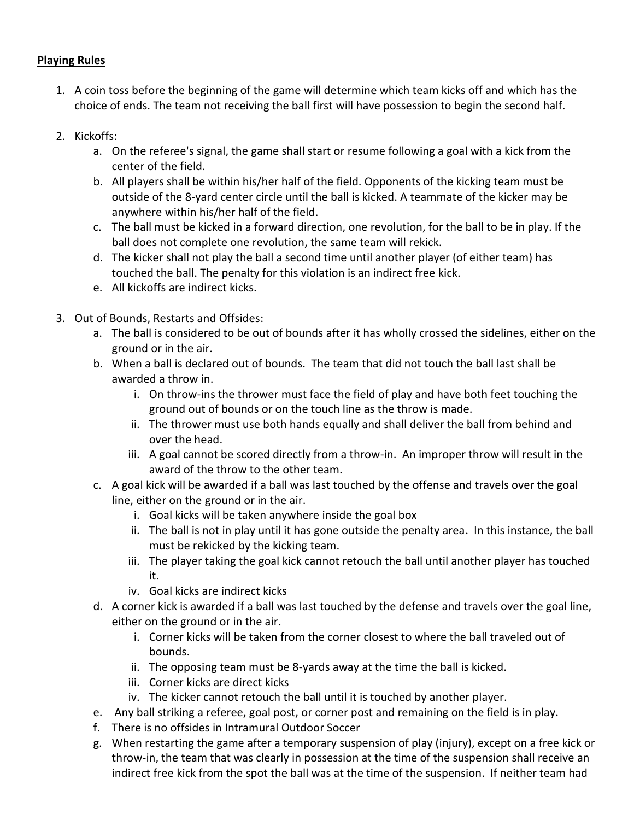### **Playing Rules**

- 1. A coin toss before the beginning of the game will determine which team kicks off and which has the choice of ends. The team not receiving the ball first will have possession to begin the second half.
- 2. Kickoffs:
	- a. On the referee's signal, the game shall start or resume following a goal with a kick from the center of the field.
	- b. All players shall be within his/her half of the field. Opponents of the kicking team must be outside of the 8-yard center circle until the ball is kicked. A teammate of the kicker may be anywhere within his/her half of the field.
	- c. The ball must be kicked in a forward direction, one revolution, for the ball to be in play. If the ball does not complete one revolution, the same team will rekick.
	- d. The kicker shall not play the ball a second time until another player (of either team) has touched the ball. The penalty for this violation is an indirect free kick.
	- e. All kickoffs are indirect kicks.
- 3. Out of Bounds, Restarts and Offsides:
	- a. The ball is considered to be out of bounds after it has wholly crossed the sidelines, either on the ground or in the air.
	- b. When a ball is declared out of bounds. The team that did not touch the ball last shall be awarded a throw in.
		- i. On throw-ins the thrower must face the field of play and have both feet touching the ground out of bounds or on the touch line as the throw is made.
		- ii. The thrower must use both hands equally and shall deliver the ball from behind and over the head.
		- iii. A goal cannot be scored directly from a throw-in. An improper throw will result in the award of the throw to the other team.
	- c. A goal kick will be awarded if a ball was last touched by the offense and travels over the goal line, either on the ground or in the air.
		- i. Goal kicks will be taken anywhere inside the goal box
		- ii. The ball is not in play until it has gone outside the penalty area. In this instance, the ball must be rekicked by the kicking team.
		- iii. The player taking the goal kick cannot retouch the ball until another player has touched it.
		- iv. Goal kicks are indirect kicks
	- d. A corner kick is awarded if a ball was last touched by the defense and travels over the goal line, either on the ground or in the air.
		- i. Corner kicks will be taken from the corner closest to where the ball traveled out of bounds.
		- ii. The opposing team must be 8-yards away at the time the ball is kicked.
		- iii. Corner kicks are direct kicks
		- iv. The kicker cannot retouch the ball until it is touched by another player.
	- e. Any ball striking a referee, goal post, or corner post and remaining on the field is in play.
	- f. There is no offsides in Intramural Outdoor Soccer
	- g. When restarting the game after a temporary suspension of play (injury), except on a free kick or throw-in, the team that was clearly in possession at the time of the suspension shall receive an indirect free kick from the spot the ball was at the time of the suspension. If neither team had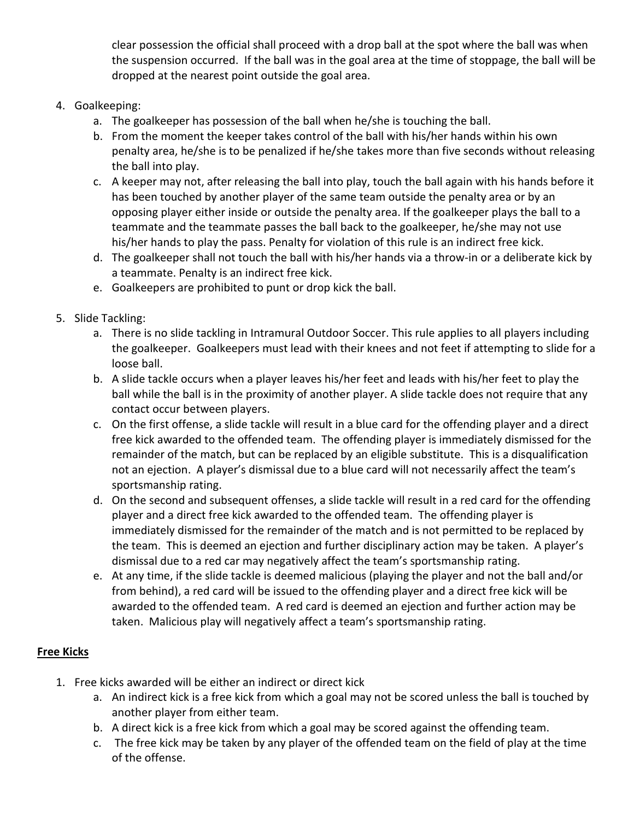clear possession the official shall proceed with a drop ball at the spot where the ball was when the suspension occurred. If the ball was in the goal area at the time of stoppage, the ball will be dropped at the nearest point outside the goal area.

## 4. Goalkeeping:

- a. The goalkeeper has possession of the ball when he/she is touching the ball.
- b. From the moment the keeper takes control of the ball with his/her hands within his own penalty area, he/she is to be penalized if he/she takes more than five seconds without releasing the ball into play.
- c. A keeper may not, after releasing the ball into play, touch the ball again with his hands before it has been touched by another player of the same team outside the penalty area or by an opposing player either inside or outside the penalty area. If the goalkeeper plays the ball to a teammate and the teammate passes the ball back to the goalkeeper, he/she may not use his/her hands to play the pass. Penalty for violation of this rule is an indirect free kick.
- d. The goalkeeper shall not touch the ball with his/her hands via a throw-in or a deliberate kick by a teammate. Penalty is an indirect free kick.
- e. Goalkeepers are prohibited to punt or drop kick the ball.

# 5. Slide Tackling:

- a. There is no slide tackling in Intramural Outdoor Soccer. This rule applies to all players including the goalkeeper. Goalkeepers must lead with their knees and not feet if attempting to slide for a loose ball.
- b. A slide tackle occurs when a player leaves his/her feet and leads with his/her feet to play the ball while the ball is in the proximity of another player. A slide tackle does not require that any contact occur between players.
- c. On the first offense, a slide tackle will result in a blue card for the offending player and a direct free kick awarded to the offended team. The offending player is immediately dismissed for the remainder of the match, but can be replaced by an eligible substitute. This is a disqualification not an ejection. A player's dismissal due to a blue card will not necessarily affect the team's sportsmanship rating.
- d. On the second and subsequent offenses, a slide tackle will result in a red card for the offending player and a direct free kick awarded to the offended team. The offending player is immediately dismissed for the remainder of the match and is not permitted to be replaced by the team. This is deemed an ejection and further disciplinary action may be taken. A player's dismissal due to a red car may negatively affect the team's sportsmanship rating.
- e. At any time, if the slide tackle is deemed malicious (playing the player and not the ball and/or from behind), a red card will be issued to the offending player and a direct free kick will be awarded to the offended team. A red card is deemed an ejection and further action may be taken. Malicious play will negatively affect a team's sportsmanship rating.

# **Free Kicks**

- 1. Free kicks awarded will be either an indirect or direct kick
	- a. An indirect kick is a free kick from which a goal may not be scored unless the ball is touched by another player from either team.
	- b. A direct kick is a free kick from which a goal may be scored against the offending team.
	- c. The free kick may be taken by any player of the offended team on the field of play at the time of the offense.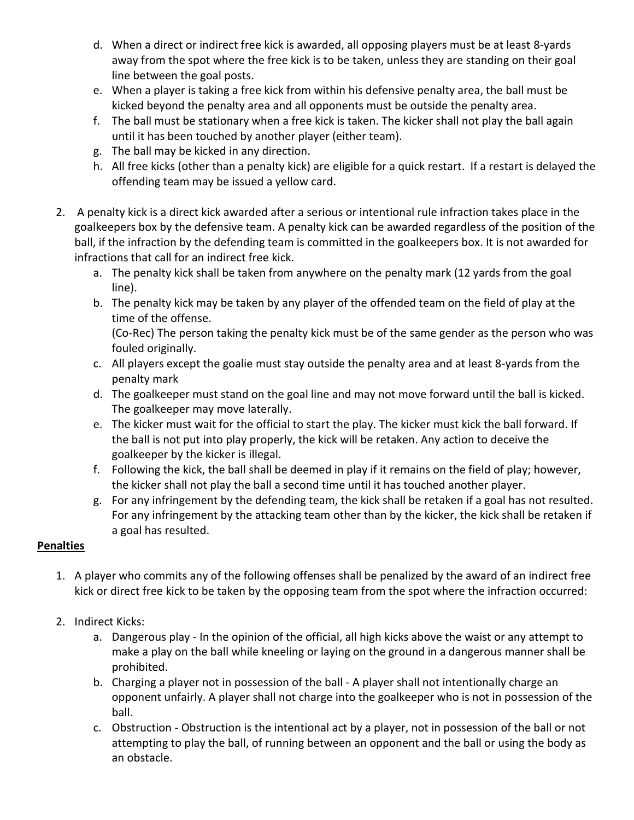- d. When a direct or indirect free kick is awarded, all opposing players must be at least 8-yards away from the spot where the free kick is to be taken, unless they are standing on their goal line between the goal posts.
- e. When a player is taking a free kick from within his defensive penalty area, the ball must be kicked beyond the penalty area and all opponents must be outside the penalty area.
- f. The ball must be stationary when a free kick is taken. The kicker shall not play the ball again until it has been touched by another player (either team).
- g. The ball may be kicked in any direction.
- h. All free kicks (other than a penalty kick) are eligible for a quick restart. If a restart is delayed the offending team may be issued a yellow card.
- 2. A penalty kick is a direct kick awarded after a serious or intentional rule infraction takes place in the goalkeepers box by the defensive team. A penalty kick can be awarded regardless of the position of the ball, if the infraction by the defending team is committed in the goalkeepers box. It is not awarded for infractions that call for an indirect free kick.
	- a. The penalty kick shall be taken from anywhere on the penalty mark (12 yards from the goal line).
	- b. The penalty kick may be taken by any player of the offended team on the field of play at the time of the offense. (Co-Rec) The person taking the penalty kick must be of the same gender as the person who was

fouled originally.

- c. All players except the goalie must stay outside the penalty area and at least 8-yards from the penalty mark
- d. The goalkeeper must stand on the goal line and may not move forward until the ball is kicked. The goalkeeper may move laterally.
- e. The kicker must wait for the official to start the play. The kicker must kick the ball forward. If the ball is not put into play properly, the kick will be retaken. Any action to deceive the goalkeeper by the kicker is illegal.
- f. Following the kick, the ball shall be deemed in play if it remains on the field of play; however, the kicker shall not play the ball a second time until it has touched another player.
- g. For any infringement by the defending team, the kick shall be retaken if a goal has not resulted. For any infringement by the attacking team other than by the kicker, the kick shall be retaken if a goal has resulted.

# **Penalties**

- 1. A player who commits any of the following offenses shall be penalized by the award of an indirect free kick or direct free kick to be taken by the opposing team from the spot where the infraction occurred:
- 2. Indirect Kicks:
	- a. Dangerous play In the opinion of the official, all high kicks above the waist or any attempt to make a play on the ball while kneeling or laying on the ground in a dangerous manner shall be prohibited.
	- b. Charging a player not in possession of the ball A player shall not intentionally charge an opponent unfairly. A player shall not charge into the goalkeeper who is not in possession of the ball.
	- c. Obstruction Obstruction is the intentional act by a player, not in possession of the ball or not attempting to play the ball, of running between an opponent and the ball or using the body as an obstacle.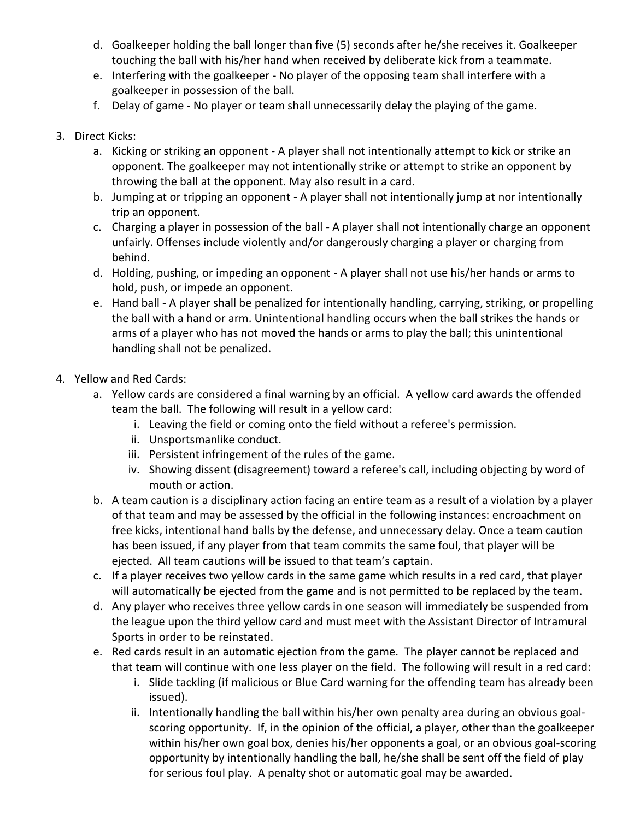- d. Goalkeeper holding the ball longer than five (5) seconds after he/she receives it. Goalkeeper touching the ball with his/her hand when received by deliberate kick from a teammate.
- e. Interfering with the goalkeeper No player of the opposing team shall interfere with a goalkeeper in possession of the ball.
- f. Delay of game No player or team shall unnecessarily delay the playing of the game.

# 3. Direct Kicks:

- a. Kicking or striking an opponent A player shall not intentionally attempt to kick or strike an opponent. The goalkeeper may not intentionally strike or attempt to strike an opponent by throwing the ball at the opponent. May also result in a card.
- b. Jumping at or tripping an opponent A player shall not intentionally jump at nor intentionally trip an opponent.
- c. Charging a player in possession of the ball A player shall not intentionally charge an opponent unfairly. Offenses include violently and/or dangerously charging a player or charging from behind.
- d. Holding, pushing, or impeding an opponent A player shall not use his/her hands or arms to hold, push, or impede an opponent.
- e. Hand ball A player shall be penalized for intentionally handling, carrying, striking, or propelling the ball with a hand or arm. Unintentional handling occurs when the ball strikes the hands or arms of a player who has not moved the hands or arms to play the ball; this unintentional handling shall not be penalized.
- 4. Yellow and Red Cards:
	- a. Yellow cards are considered a final warning by an official. A yellow card awards the offended team the ball. The following will result in a yellow card:
		- i. Leaving the field or coming onto the field without a referee's permission.
		- ii. Unsportsmanlike conduct.
		- iii. Persistent infringement of the rules of the game.
		- iv. Showing dissent (disagreement) toward a referee's call, including objecting by word of mouth or action.
	- b. A team caution is a disciplinary action facing an entire team as a result of a violation by a player of that team and may be assessed by the official in the following instances: encroachment on free kicks, intentional hand balls by the defense, and unnecessary delay. Once a team caution has been issued, if any player from that team commits the same foul, that player will be ejected. All team cautions will be issued to that team's captain.
	- c. If a player receives two yellow cards in the same game which results in a red card, that player will automatically be ejected from the game and is not permitted to be replaced by the team.
	- d. Any player who receives three yellow cards in one season will immediately be suspended from the league upon the third yellow card and must meet with the Assistant Director of Intramural Sports in order to be reinstated.
	- e. Red cards result in an automatic ejection from the game. The player cannot be replaced and that team will continue with one less player on the field. The following will result in a red card:
		- i. Slide tackling (if malicious or Blue Card warning for the offending team has already been issued).
		- ii. Intentionally handling the ball within his/her own penalty area during an obvious goalscoring opportunity. If, in the opinion of the official, a player, other than the goalkeeper within his/her own goal box, denies his/her opponents a goal, or an obvious goal-scoring opportunity by intentionally handling the ball, he/she shall be sent off the field of play for serious foul play. A penalty shot or automatic goal may be awarded.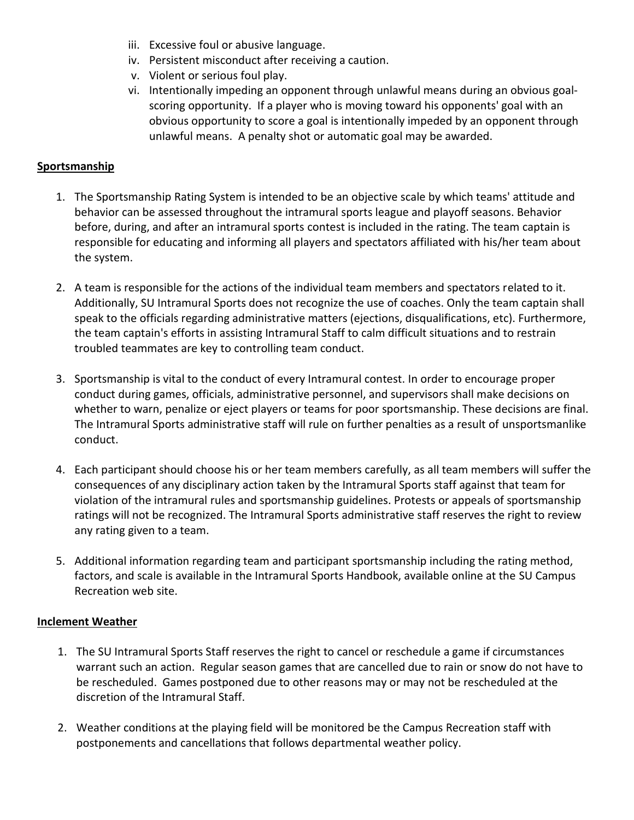- iii. Excessive foul or abusive language.
- iv. Persistent misconduct after receiving a caution.
- v. Violent or serious foul play.
- vi. Intentionally impeding an opponent through unlawful means during an obvious goalscoring opportunity. If a player who is moving toward his opponents' goal with an obvious opportunity to score a goal is intentionally impeded by an opponent through unlawful means. A penalty shot or automatic goal may be awarded.

#### **Sportsmanship**

- 1. The Sportsmanship Rating System is intended to be an objective scale by which teams' attitude and behavior can be assessed throughout the intramural sports league and playoff seasons. Behavior before, during, and after an intramural sports contest is included in the rating. The team captain is responsible for educating and informing all players and spectators affiliated with his/her team about the system.
- 2. A team is responsible for the actions of the individual team members and spectators related to it. Additionally, SU Intramural Sports does not recognize the use of coaches. Only the team captain shall speak to the officials regarding administrative matters (ejections, disqualifications, etc). Furthermore, the team captain's efforts in assisting Intramural Staff to calm difficult situations and to restrain troubled teammates are key to controlling team conduct.
- 3. Sportsmanship is vital to the conduct of every Intramural contest. In order to encourage proper conduct during games, officials, administrative personnel, and supervisors shall make decisions on whether to warn, penalize or eject players or teams for poor sportsmanship. These decisions are final. The Intramural Sports administrative staff will rule on further penalties as a result of unsportsmanlike conduct.
- 4. Each participant should choose his or her team members carefully, as all team members will suffer the consequences of any disciplinary action taken by the Intramural Sports staff against that team for violation of the intramural rules and sportsmanship guidelines. Protests or appeals of sportsmanship ratings will not be recognized. The Intramural Sports administrative staff reserves the right to review any rating given to a team.
- 5. Additional information regarding team and participant sportsmanship including the rating method, factors, and scale is available in the Intramural Sports Handbook, available online at the SU Campus Recreation web site.

#### **Inclement Weather**

- 1. The SU Intramural Sports Staff reserves the right to cancel or reschedule a game if circumstances warrant such an action. Regular season games that are cancelled due to rain or snow do not have to be rescheduled. Games postponed due to other reasons may or may not be rescheduled at the discretion of the Intramural Staff.
- 2. Weather conditions at the playing field will be monitored be the Campus Recreation staff with postponements and cancellations that follows departmental weather policy.